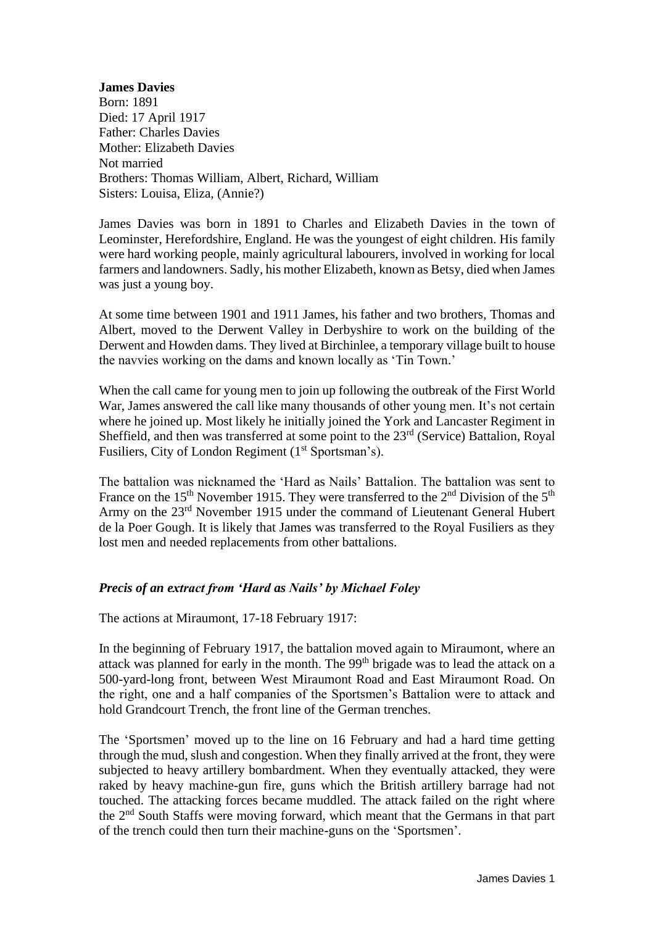## **James Davies**

Born: 1891 Died: 17 April 1917 Father: Charles Davies Mother: Elizabeth Davies Not married Brothers: Thomas William, Albert, Richard, William Sisters: Louisa, Eliza, (Annie?)

James Davies was born in 1891 to Charles and Elizabeth Davies in the town of Leominster, Herefordshire, England. He was the youngest of eight children. His family were hard working people, mainly agricultural labourers, involved in working for local farmers and landowners. Sadly, his mother Elizabeth, known as Betsy, died when James was just a young boy.

At some time between 1901 and 1911 James, his father and two brothers, Thomas and Albert, moved to the Derwent Valley in Derbyshire to work on the building of the Derwent and Howden dams. They lived at Birchinlee, a temporary village built to house the navvies working on the dams and known locally as 'Tin Town.'

When the call came for young men to join up following the outbreak of the First World War, James answered the call like many thousands of other young men. It's not certain where he joined up. Most likely he initially joined the York and Lancaster Regiment in Sheffield, and then was transferred at some point to the  $23<sup>rd</sup>$  (Service) Battalion, Royal Fusiliers, City of London Regiment (1<sup>st</sup> Sportsman's).

The battalion was nicknamed the 'Hard as Nails' Battalion. The battalion was sent to France on the  $15<sup>th</sup>$  November 1915. They were transferred to the  $2<sup>nd</sup>$  Division of the  $5<sup>th</sup>$ Army on the 23rd November 1915 under the command of Lieutenant General Hubert de la Poer Gough. It is likely that James was transferred to the Royal Fusiliers as they lost men and needed replacements from other battalions.

## *Precis of an extract from 'Hard as Nails' by Michael Foley*

The actions at Miraumont, 17-18 February 1917:

In the beginning of February 1917, the battalion moved again to Miraumont, where an attack was planned for early in the month. The 99<sup>th</sup> brigade was to lead the attack on a 500-yard-long front, between West Miraumont Road and East Miraumont Road. On the right, one and a half companies of the Sportsmen's Battalion were to attack and hold Grandcourt Trench, the front line of the German trenches.

The 'Sportsmen' moved up to the line on 16 February and had a hard time getting through the mud, slush and congestion. When they finally arrived at the front, they were subjected to heavy artillery bombardment. When they eventually attacked, they were raked by heavy machine-gun fire, guns which the British artillery barrage had not touched. The attacking forces became muddled. The attack failed on the right where the 2nd South Staffs were moving forward, which meant that the Germans in that part of the trench could then turn their machine-guns on the 'Sportsmen'.